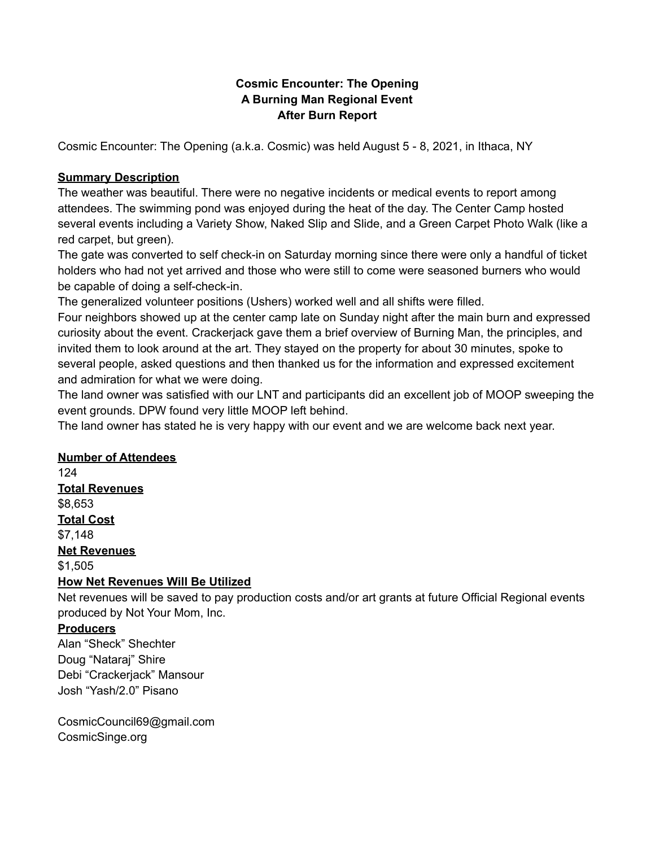## **Cosmic Encounter: The Opening A Burning Man Regional Event After Burn Report**

Cosmic Encounter: The Opening (a.k.a. Cosmic) was held August 5 - 8, 2021, in Ithaca, NY

#### **Summary Description**

The weather was beautiful. There were no negative incidents or medical events to report among attendees. The swimming pond was enjoyed during the heat of the day. The Center Camp hosted several events including a Variety Show, Naked Slip and Slide, and a Green Carpet Photo Walk (like a red carpet, but green).

The gate was converted to self check-in on Saturday morning since there were only a handful of ticket holders who had not yet arrived and those who were still to come were seasoned burners who would be capable of doing a self-check-in.

The generalized volunteer positions (Ushers) worked well and all shifts were filled.

Four neighbors showed up at the center camp late on Sunday night after the main burn and expressed curiosity about the event. Crackerjack gave them a brief overview of Burning Man, the principles, and invited them to look around at the art. They stayed on the property for about 30 minutes, spoke to several people, asked questions and then thanked us for the information and expressed excitement and admiration for what we were doing.

The land owner was satisfied with our LNT and participants did an excellent job of MOOP sweeping the event grounds. DPW found very little MOOP left behind.

The land owner has stated he is very happy with our event and we are welcome back next year.

## **Number of Attendees**

124 **Total Revenues** \$8,653 **Total Cost** \$7,148 **Net Revenues** \$1,505 **How Net Revenues Will Be Utilized**

Net revenues will be saved to pay production costs and/or art grants at future Official Regional events produced by Not Your Mom, Inc.

## **Producers**

Alan "Sheck" Shechter Doug "Nataraj" Shire Debi "Crackerjack" Mansour Josh "Yash/2.0" Pisano

CosmicCouncil69@gmail.com CosmicSinge.org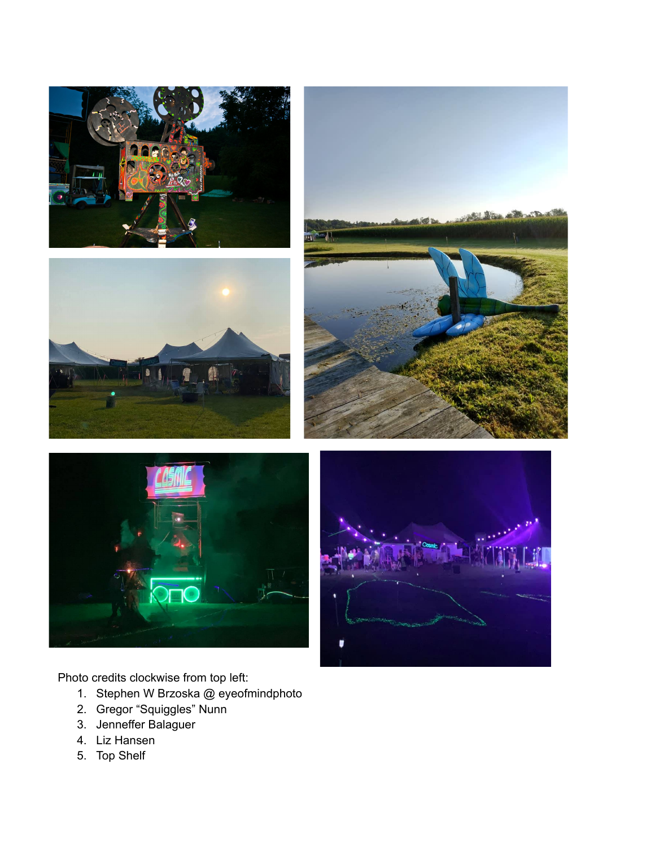









Photo credits clockwise from top left:

- 1. Stephen W Brzoska @ eyeofmindphoto
- 2. Gregor "Squiggles" Nunn
- 3. Jenneffer Balaguer
- 4. Liz Hansen
- 5. Top Shelf